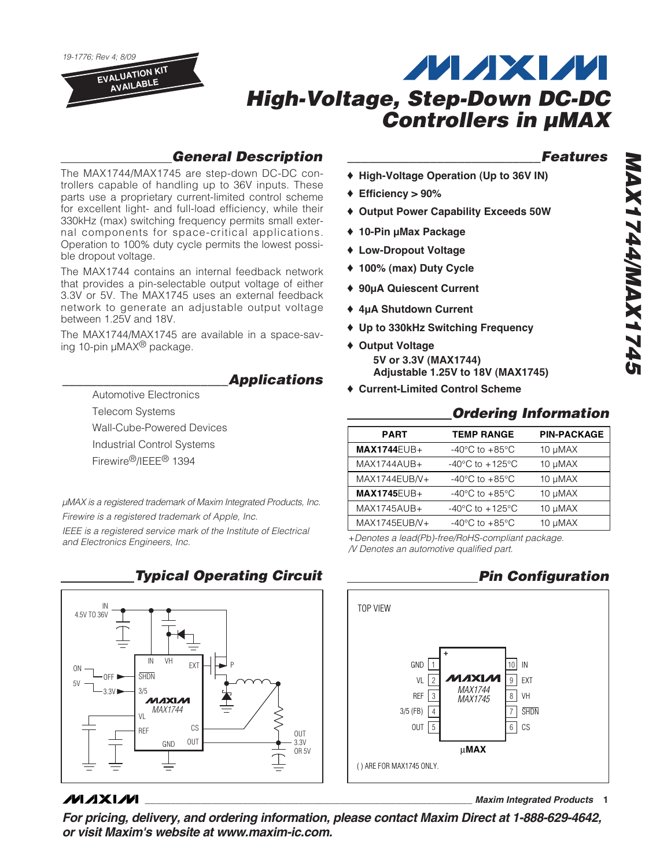19-1776; Rev 4; 8/09 **EVALUATION KIT AVAILABLE**

# **MAXM High-Voltage, Step-Down DC-DC Controllers in µMAX**

## **General Description**

The MAX1744/MAX1745 are step-down DC-DC controllers capable of handling up to 36V inputs. These parts use a proprietary current-limited control scheme for excellent light- and full-load efficiency, while their 330kHz (max) switching frequency permits small external components for space-critical applications. Operation to 100% duty cycle permits the lowest possible dropout voltage.

The MAX1744 contains an internal feedback network that provides a pin-selectable output voltage of either 3.3V or 5V. The MAX1745 uses an external feedback network to generate an adjustable output voltage between 1.25V and 18V.

The MAX1744/MAX1745 are available in a space-saving 10-pin  $\mu$ MAX<sup>®</sup> package.

**\_\_\_\_\_\_\_\_\_\_\_\_\_\_\_\_\_\_\_\_\_\_\_\_Applications**

Automotive Electronics Telecom Systems

Wall-Cube-Powered Devices

Industrial Control Systems

Firewire®/IEEE® 1394

μMAX is a registered trademark of Maxim Integrated Products, Inc. Firewire is a registered trademark of Apple, Inc.

IEEE is a registered service mark of the Institute of Electrical and Electronics Engineers, Inc. +Denotes a lead(Pb)-free/RoHS-compliant package.

**Typical Operating Circuit**



## **MAXIM**

**For pricing, delivery, and ordering information, please contact Maxim Direct at 1-888-629-4642, or visit Maxim's website at www.maxim-ic.com.**

### **\_\_\_\_\_\_\_\_\_\_\_\_\_\_\_\_\_\_\_\_\_\_\_\_\_\_\_\_Features**

- ♦ **High-Voltage Operation (Up to 36V IN)**
- ♦ **Efficiency > 90%**
- ♦ **Output Power Capability Exceeds 50W**
- ♦ **10-Pin µMax Package**
- ♦ **Low-Dropout Voltage**
- ♦ **100% (max) Duty Cycle**
- ♦ **90µA Quiescent Current**
- ♦ **4µA Shutdown Current**
- ♦ **Up to 330kHz Switching Frequency**
- ♦ **Output Voltage 5V or 3.3V (MAX1744) Adjustable 1.25V to 18V (MAX1745)**
- ♦ **Current-Limited Control Scheme**

## **Ordering Information**

| <b>PART</b>        | <b>TEMP RANGE</b>                     | <b>PIN-PACKAGE</b> |
|--------------------|---------------------------------------|--------------------|
| $MAX1744EUB+$      | -40 $^{\circ}$ C to +85 $^{\circ}$ C  | $10 \mu MAX$       |
| MAX1744AUB+        | -40 $^{\circ}$ C to +125 $^{\circ}$ C | 10 µMAX            |
| MAX1744EUB/V+      | $-40^{\circ}$ C to $+85^{\circ}$ C    | 10 µMAX            |
| <b>MAX1745EUB+</b> | $-40^{\circ}$ C to $+85^{\circ}$ C    | 10 µMAX            |
| MAX1745AUB+        | -40 $^{\circ}$ C to +125 $^{\circ}$ C | 10 µMAX            |
| MAX1745EUB/V+      | -40 $^{\circ}$ C to +85 $^{\circ}$ C  | 10 µMAX            |

/V Denotes an automotive qualified part.

## **Pin Configuration**

**\_\_\_\_\_\_\_\_\_\_\_\_\_\_\_\_\_\_\_\_\_\_\_\_\_\_\_\_\_\_\_\_\_\_\_\_\_\_\_\_\_\_\_\_\_\_\_\_\_\_\_\_\_\_\_\_\_\_\_\_\_\_\_\_ Maxim Integrated Products 1**

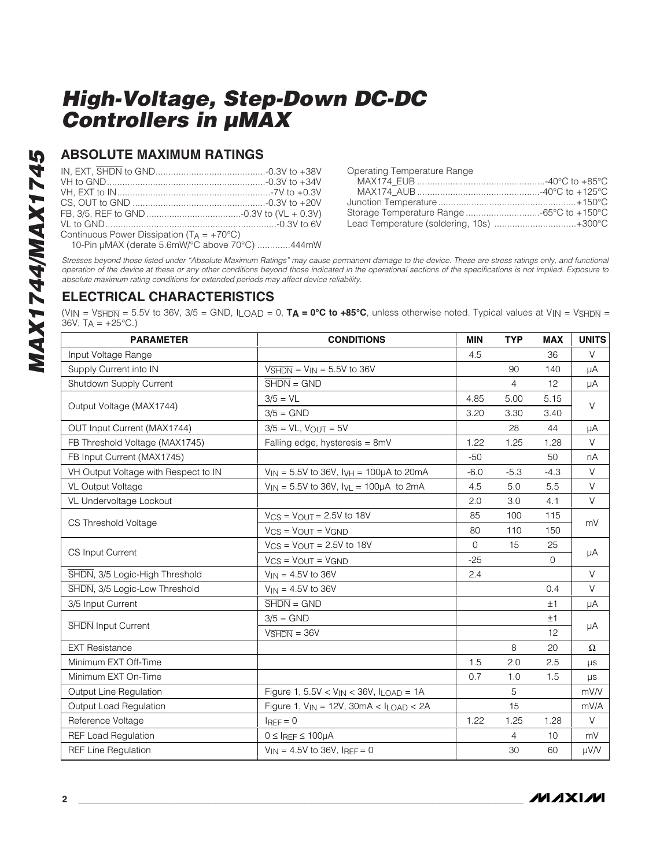### **ABSOLUTE MAXIMUM RATINGS**

| Continuous Power Dissipation $(T_A = +70^{\circ}C)$ |  |
|-----------------------------------------------------|--|
| 10-Pin µMAX (derate 5.6mW/°C above 70°C) 444mW      |  |

Operating Temperature Range MAX174\_EUB ..................................................-40°C to +85°C MAX174\_AUB ................................................-40°C to +125°C Junction Temperature......................................................+150°C Storage Temperature Range .............................-65°C to +150°C Lead Temperature (soldering, 10s) ................................+300°C

Stresses beyond those listed under "Absolute Maximum Ratings" may cause permanent damage to the device. These are stress ratings only, and functional operation of the device at these or any other conditions beyond those indicated in the operational sections of the specifications is not implied. Exposure to absolute maximum rating conditions for extended periods may affect device reliability.

### **ELECTRICAL CHARACTERISTICS**

(VIN = V<sub>SHDN</sub> = 5.5V to 36V, 3/5 = GND, I<sub>LOAD</sub> = 0, **T<sub>A</sub> = 0°C to +85°C**, unless otherwise noted. Typical values at V<sub>IN</sub> = V<sub>SHDN</sub> = 36V,  $TA = +25^{\circ}C.$ 

| <b>PARAMETER</b>                                                                                                                                                                                                                                                                                                                                                                                                                                                                                                                                                       | <b>CONDITIONS</b>                                    | <b>MIN</b>   | <b>TYP</b>     | <b>MAX</b>   | <b>UNITS</b> |  |
|------------------------------------------------------------------------------------------------------------------------------------------------------------------------------------------------------------------------------------------------------------------------------------------------------------------------------------------------------------------------------------------------------------------------------------------------------------------------------------------------------------------------------------------------------------------------|------------------------------------------------------|--------------|----------------|--------------|--------------|--|
| Input Voltage Range                                                                                                                                                                                                                                                                                                                                                                                                                                                                                                                                                    |                                                      | 4.5          |                | 36           | V            |  |
| Supply Current into IN                                                                                                                                                                                                                                                                                                                                                                                                                                                                                                                                                 | $V\overline{\text{SHDN}} = V\text{IN} = 5.5V$ to 36V |              | 90             | 140          | μA           |  |
| Shutdown Supply Current                                                                                                                                                                                                                                                                                                                                                                                                                                                                                                                                                | $\overline{\text{SHDN}} = \text{GND}$                |              | $\overline{4}$ | 12           | μA           |  |
| Output Voltage (MAX1744)<br>OUT Input Current (MAX1744)<br>FB Threshold Voltage (MAX1745)<br>FB Input Current (MAX1745)<br>VH Output Voltage with Respect to IN<br><b>VL Output Voltage</b><br>VL Undervoltage Lockout<br>CS Threshold Voltage<br><b>CS Input Current</b><br>SHDN, 3/5 Logic-High Threshold<br>SHDN, 3/5 Logic-Low Threshold<br>3/5 Input Current<br>SHDN Input Current<br><b>EXT Resistance</b><br>Minimum EXT Off-Time<br>Minimum EXT On-Time<br>Output Line Regulation<br>Output Load Regulation<br>Reference Voltage<br><b>REF Load Regulation</b> | $3/5 = VL$                                           | 4.85<br>5.00 |                | 5.15         | $\vee$       |  |
|                                                                                                                                                                                                                                                                                                                                                                                                                                                                                                                                                                        | $3/5 =$ GND                                          | 3.20         | 3.30           | 3.40         |              |  |
|                                                                                                                                                                                                                                                                                                                                                                                                                                                                                                                                                                        | $3/5 = VL$ , $V_{OUT} = 5V$                          |              | 28             | 44           | μA           |  |
|                                                                                                                                                                                                                                                                                                                                                                                                                                                                                                                                                                        | Falling edge, hysteresis = 8mV                       | 1.22         | 1.25           | 1.28         | V            |  |
|                                                                                                                                                                                                                                                                                                                                                                                                                                                                                                                                                                        |                                                      | $-50$        |                | 50           | nA           |  |
|                                                                                                                                                                                                                                                                                                                                                                                                                                                                                                                                                                        | $V_{IN} = 5.5V$ to 36V, $I_{VH} = 100\mu A$ to 20mA  | $-6.0$       | $-5.3$         | $-4.3$       | $\vee$       |  |
|                                                                                                                                                                                                                                                                                                                                                                                                                                                                                                                                                                        | $V_{IN} = 5.5V$ to 36V, $I_{VL} = 100\mu A$ to 2mA   | 4.5          | 5.0            | 5.5          | $\vee$       |  |
|                                                                                                                                                                                                                                                                                                                                                                                                                                                                                                                                                                        |                                                      | 2.0          | 3.0            | 4.1          | $\vee$       |  |
|                                                                                                                                                                                                                                                                                                                                                                                                                                                                                                                                                                        | $V_{CS}$ = $V_{OUT}$ = 2.5V to 18V                   | 85           | 100            | 115          | mV           |  |
|                                                                                                                                                                                                                                                                                                                                                                                                                                                                                                                                                                        | $V_{CS}$ = $V_{OUT}$ = $V_{GND}$                     | 80           | 110            | 150          |              |  |
|                                                                                                                                                                                                                                                                                                                                                                                                                                                                                                                                                                        | $V_{CS}$ = $V_{OUT}$ = 2.5V to 18V                   | $\Omega$     | 15             | 25           | μA           |  |
|                                                                                                                                                                                                                                                                                                                                                                                                                                                                                                                                                                        | $V_{CS}$ = $V_{OUT}$ = $V_{GND}$                     | $-25$        |                | $\mathbf{0}$ |              |  |
|                                                                                                                                                                                                                                                                                                                                                                                                                                                                                                                                                                        | $V_{IN} = 4.5V$ to 36V                               | 2.4          |                |              | $\vee$       |  |
|                                                                                                                                                                                                                                                                                                                                                                                                                                                                                                                                                                        | $V_{IN} = 4.5V$ to 36V                               |              |                | 0.4          | $\vee$       |  |
|                                                                                                                                                                                                                                                                                                                                                                                                                                                                                                                                                                        | $\overline{\text{SHDN}} = \text{GND}$                |              |                | ±1           | μA           |  |
|                                                                                                                                                                                                                                                                                                                                                                                                                                                                                                                                                                        | $3/5 =$ GND                                          |              |                | ±1           |              |  |
|                                                                                                                                                                                                                                                                                                                                                                                                                                                                                                                                                                        | $V\overline{\text{SHDN}} = 36V$                      |              |                | 12           | μA           |  |
|                                                                                                                                                                                                                                                                                                                                                                                                                                                                                                                                                                        |                                                      |              | 8              | 20           | $\Omega$     |  |
|                                                                                                                                                                                                                                                                                                                                                                                                                                                                                                                                                                        |                                                      | 1.5          | 2.0            | 2.5          | $\mu s$      |  |
|                                                                                                                                                                                                                                                                                                                                                                                                                                                                                                                                                                        |                                                      | 0.7          | 1.0            | 1.5          | $\mu s$      |  |
|                                                                                                                                                                                                                                                                                                                                                                                                                                                                                                                                                                        | Figure 1, $5.5V < V_{IN} < 36V$ , $I_{LOAD} = 1A$    |              | 5              |              | mV/V         |  |
|                                                                                                                                                                                                                                                                                                                                                                                                                                                                                                                                                                        | Figure 1, $V_{IN} = 12V$ , $30mA < I_{LOAD} < 2A$    |              | 15             |              | mV/A         |  |
|                                                                                                                                                                                                                                                                                                                                                                                                                                                                                                                                                                        | $I_{REF} = 0$                                        | 1.22         | 1.25           | 1.28         | $\vee$       |  |
|                                                                                                                                                                                                                                                                                                                                                                                                                                                                                                                                                                        | $0 \leq I_{REF} \leq 100 \mu A$                      |              | 4              | 10           | mV           |  |
| <b>REF Line Regulation</b>                                                                                                                                                                                                                                                                                                                                                                                                                                                                                                                                             | $V_{1N} = 4.5V$ to 36V, $I_{REF} = 0$                |              | 30             | 60           | µV/V         |  |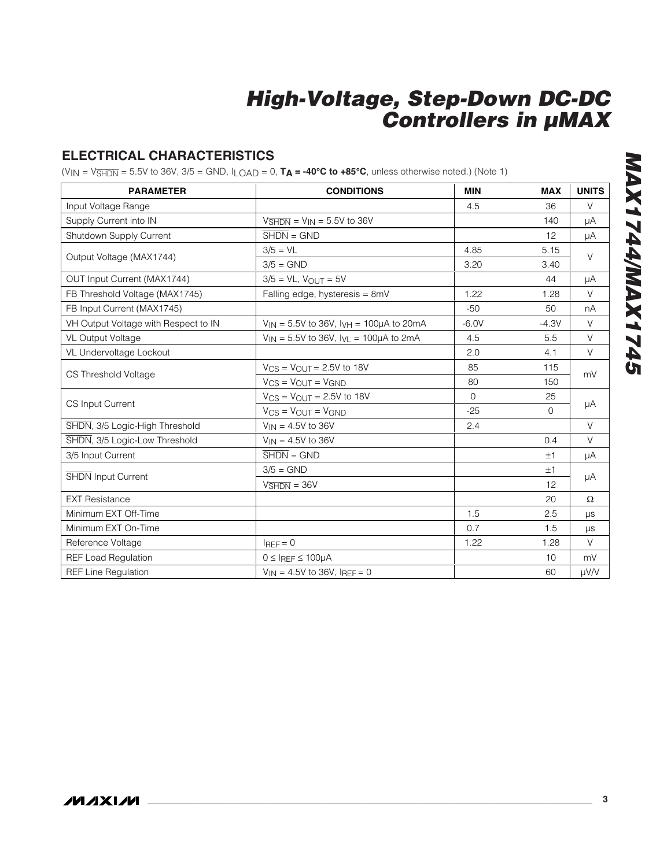## **ELECTRICAL CHARACTERISTICS**

 $(VIN = V\overline{\text{SHDN}} = 5.5V$  to 36V, 3/5 = GND,  $ILOAD = 0$ ,  $TA = -40°C$  to  $+85°C$ , unless otherwise noted.) (Note 1)

| <b>PARAMETER</b>                                                          | <b>CONDITIONS</b>                                       | <b>MIN</b> | <b>MAX</b>   | <b>UNITS</b> |  |
|---------------------------------------------------------------------------|---------------------------------------------------------|------------|--------------|--------------|--|
| Input Voltage Range                                                       |                                                         | 4.5        | 36           | $\vee$       |  |
| Supply Current into IN                                                    | $V\overline{\text{SHDN}} = V_{\text{IN}} = 5.5V$ to 36V |            | 140          | μA           |  |
| Shutdown Supply Current                                                   | $\overline{\text{SHDN}} = \text{GND}$                   |            | 12           | μA           |  |
| Output Voltage (MAX1744)<br>CS Input Current<br><b>SHDN</b> Input Current | $3/5 = VL$                                              | 4.85       | 5.15         | $\vee$       |  |
|                                                                           | $3/5 =$ GND                                             | 3.20       | 3.40         |              |  |
| OUT Input Current (MAX1744)                                               | $3/5 = VL$ , $V_{OUT} = 5V$                             |            | 44           | μA           |  |
| FB Threshold Voltage (MAX1745)                                            | Falling edge, hysteresis = 8mV                          | 1.22       | 1.28         | V            |  |
| FB Input Current (MAX1745)                                                |                                                         | $-50$      | 50           | nA           |  |
| VH Output Voltage with Respect to IN                                      | $V_{IN} = 5.5V$ to 36V, $V_{VH} = 100\mu A$ to 20mA     | $-6.0V$    | $-4.3V$      | $\vee$       |  |
| VL Output Voltage                                                         | $V_{IN} = 5.5V$ to 36V, $I_{VL} = 100\mu A$ to 2mA      | 4.5        | 5.5          | $\vee$       |  |
| VL Undervoltage Lockout                                                   |                                                         | 2.0        | 4.1          | $\vee$       |  |
| CS Threshold Voltage                                                      | $V_{CS} = V_{OU}T = 2.5V$ to 18V                        | 85         | 115          | mV           |  |
|                                                                           | $V_{CS}$ = $V_{OUT}$ = $V_{GND}$                        | 80         | 150          |              |  |
|                                                                           | $V_{CS}$ = $V_{OUT}$ = 2.5V to 18V                      | $\Omega$   | 25           |              |  |
|                                                                           | $V_{CS}$ = $V_{OUT}$ = $V_{GND}$                        | $-25$      | $\mathbf{0}$ | μA           |  |
| SHDN, 3/5 Logic-High Threshold                                            | $V_{IN} = 4.5V$ to 36V                                  | 2.4        |              | $\vee$       |  |
| SHDN, 3/5 Logic-Low Threshold                                             | $V_{IN} = 4.5V$ to 36V                                  |            | 0.4          | $\vee$       |  |
| 3/5 Input Current                                                         | $\overline{\text{SHDN}} = \text{GND}$                   |            | ±1           | μA           |  |
|                                                                           | $3/5 =$ GND                                             |            | ±1           |              |  |
|                                                                           | $V\overline{\text{SHDN}} = 36V$                         |            | 12           | μA           |  |
| <b>EXT Resistance</b>                                                     |                                                         |            | 20           | $\Omega$     |  |
| Minimum EXT Off-Time                                                      |                                                         | 1.5        | 2.5          | $\mu s$      |  |
| Minimum EXT On-Time                                                       |                                                         | 0.7        | 1.5          | $\mu s$      |  |
| Reference Voltage                                                         | $I_{REF} = 0$                                           | 1.22       | 1.28         | $\vee$       |  |
| <b>REF Load Regulation</b>                                                | $0 \leq I$ REF $\leq 100 \mu$ A                         |            | 10           | mV           |  |
| <b>REF Line Regulation</b>                                                | $V_{IN} = 4.5V$ to 36V, $I_{REF} = 0$                   |            | 60           | µV/V         |  |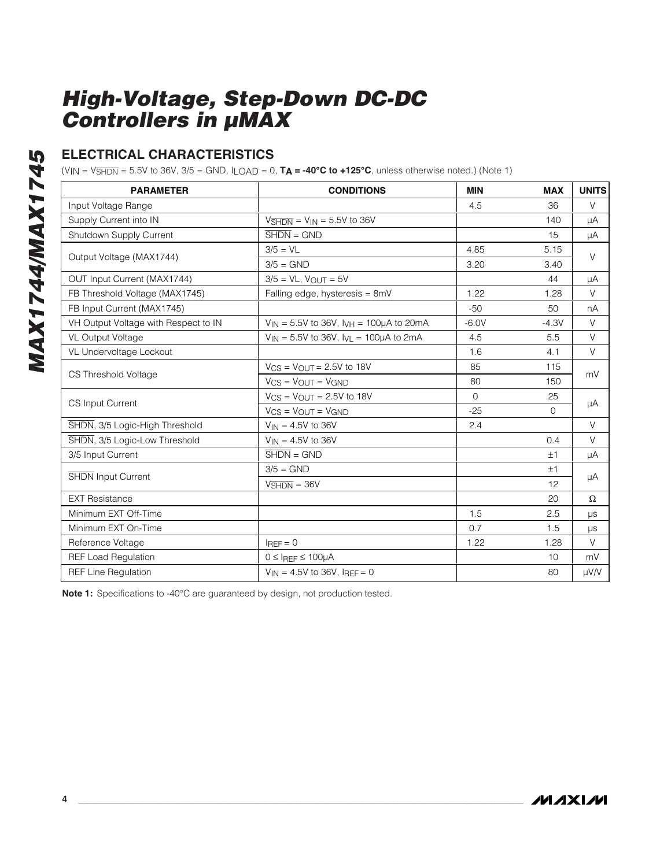## **ELECTRICAL CHARACTERISTICS**

 $(V_{IN} = V_{\overline{SHDN}} = 5.5V$  to 36V, 3/5 = GND,  $I_{LOAD} = 0$ ,  $T_A = -40°C$  to  $+125°C$ , unless otherwise noted.) (Note 1)

| <b>PARAMETER</b>                                                                                                  | <b>CONDITIONS</b>                                      | <b>MIN</b>   | <b>MAX</b> | <b>UNITS</b> |  |
|-------------------------------------------------------------------------------------------------------------------|--------------------------------------------------------|--------------|------------|--------------|--|
| Input Voltage Range                                                                                               |                                                        | 4.5          | 36         | V            |  |
| Supply Current into IN                                                                                            | $V\overline{\text{SHDN}}$ = $V\text{IN}$ = 5.5V to 36V |              | 140        | μA           |  |
| Shutdown Supply Current                                                                                           | $\overline{\text{SHDN}} = \text{GND}$                  |              | 15         | μA           |  |
|                                                                                                                   | $3/5 = VL$                                             | 4.85         | 5.15       |              |  |
|                                                                                                                   | $3/5 =$ GND                                            | 3.20         | 3.40       | V            |  |
| OUT Input Current (MAX1744)                                                                                       | $3/5 = VL$ , $V_{OUT} = 5V$                            |              | 44         | μA           |  |
| FB Threshold Voltage (MAX1745)                                                                                    | Falling edge, hysteresis = 8mV                         | 1.22         | 1.28       | V            |  |
| FB Input Current (MAX1745)                                                                                        |                                                        | $-50$        | 50         | nA           |  |
| VH Output Voltage with Respect to IN                                                                              | $V_{IN} = 5.5V$ to 36V, $I_{VH} = 100\mu A$ to 20mA    | $-6.0V$      | $-4.3V$    | V            |  |
| VL Output Voltage                                                                                                 | $V_{IN} = 5.5V$ to 36V, $V_{IL} = 100\mu A$ to 2mA     | 4.5          | 5.5        | V            |  |
| VL Undervoltage Lockout                                                                                           |                                                        | 1.6          | 4.1        | V            |  |
| Output Voltage (MAX1744)<br>CS Threshold Voltage<br>CS Input Current<br>SHDN Input Current<br>Minimum EXT On-Time | $V_{CS}$ = $V_{OUIT}$ = 2.5V to 18V                    | 85           | 115        | mV           |  |
|                                                                                                                   | $V_{CS}$ = $V_{OUT}$ = $V_{GND}$                       | 80           | 150        |              |  |
|                                                                                                                   | $V_{CS}$ = $V_{OUT}$ = 2.5V to 18V                     | $\mathbf{0}$ | 25         |              |  |
|                                                                                                                   | $V_{CS}$ = $V_{OUT}$ = $V_{GND}$                       | $-25$        | $\Omega$   | μA           |  |
| SHDN, 3/5 Logic-High Threshold                                                                                    | $V_{IN} = 4.5V$ to 36V                                 | 2.4          |            | $\vee$       |  |
| SHDN, 3/5 Logic-Low Threshold                                                                                     | $V_{IN} = 4.5V$ to 36V                                 |              | 0.4        | V            |  |
| 3/5 Input Current                                                                                                 | $\overline{\text{SHDN}} = \text{GND}$                  |              | ±1         | μA           |  |
|                                                                                                                   | $3/5 =$ GND                                            |              | ±1         |              |  |
|                                                                                                                   | $VSHDN = 36V$                                          |              | 12         | μA           |  |
| <b>EXT Resistance</b>                                                                                             |                                                        |              | 20         | $\Omega$     |  |
| Minimum EXT Off-Time                                                                                              |                                                        | 1.5          | 2.5        | μs           |  |
|                                                                                                                   |                                                        | 0.7          | 1.5        | μs           |  |
| Reference Voltage                                                                                                 | $I_{REF} = 0$                                          | 1.22         | 1.28       | V            |  |
| <b>REF Load Regulation</b>                                                                                        | $0 \leq$ IREF $\leq 100 \mu$ A                         |              | 10         | mV           |  |
| <b>REF Line Regulation</b>                                                                                        | $V_{1N} = 4.5V$ to 36V, $I_{REF} = 0$                  |              | 80         | µV/V         |  |

**Note 1:** Specifications to -40°C are guaranteed by design, not production tested.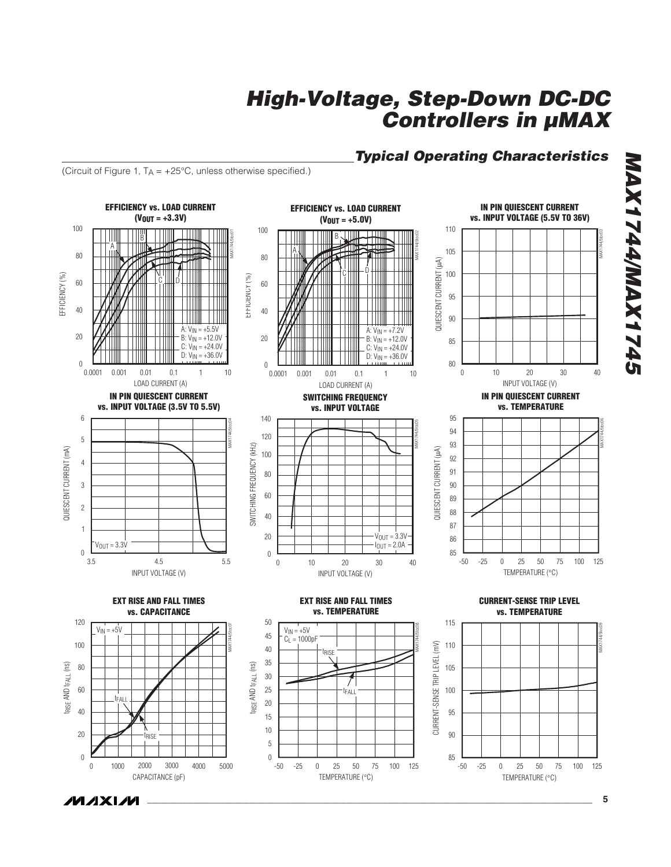

**EFFICIENCY vs. LOAD CURRENT (VOUT = +5.0V)**

# **High-Voltage, Step-Down DC-DC Controllers in µMAX**

110

### **Typical Operating Characteristics**

**IN PIN QUIESCENT CURRENT vs. INPUT VOLTAGE (5.5V TO 36V)**

(Circuit of Figure 1,  $T_A = +25^{\circ}C$ , unless otherwise specified.)

100

**EFFICIENCY vs. LOAD CURRENT (VOUT = +3.3V)**

100

**\_\_\_\_\_\_\_\_\_\_\_\_\_\_\_\_\_\_\_\_\_\_\_\_\_\_\_\_\_\_\_\_\_\_\_\_\_\_\_\_\_\_\_\_\_\_\_\_\_\_\_\_\_\_\_\_\_\_\_\_\_\_\_\_\_\_\_\_\_\_\_\_\_\_\_\_\_\_\_\_\_\_\_\_\_\_\_ 5**

**MAX1744/MAX1745 GPZIXVM/PPZIXVM**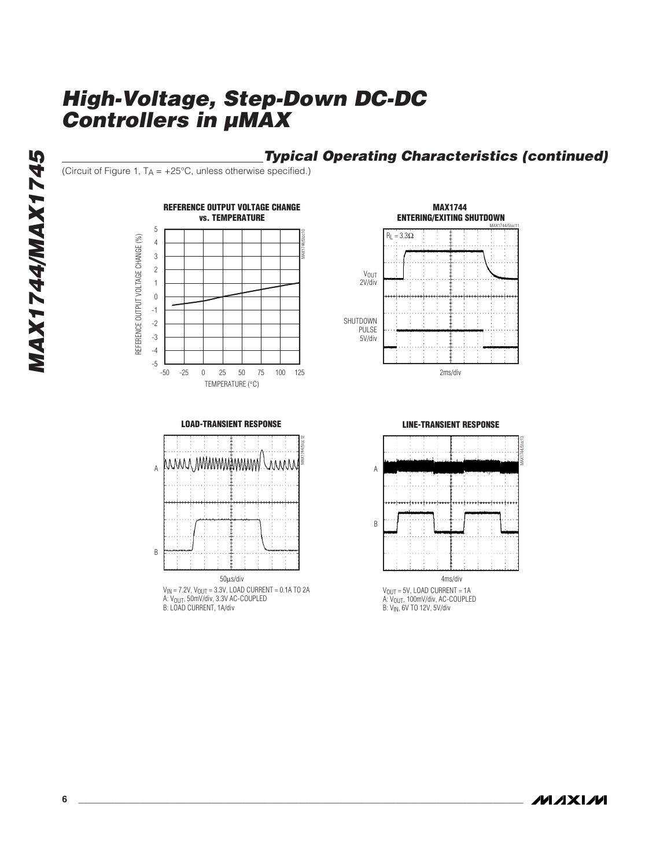## **Typical Operating Characteristics (continued)**

(Circuit of Figure 1,  $T_A = +25^{\circ}C$ , unless otherwise specified.)







V<sub>IN</sub> = 7.2V, V<sub>OUT</sub> = 3.3V, LOAD CURRENT = 0.1A TO 2A<br>A: V<sub>OUT</sub>, 50mV/div, 3.3V AC-COUPLED<br>B: LOAD CURRENT, 1A/div





**MAX1744/MAX1745**

**MAX1744/MAX1745** 

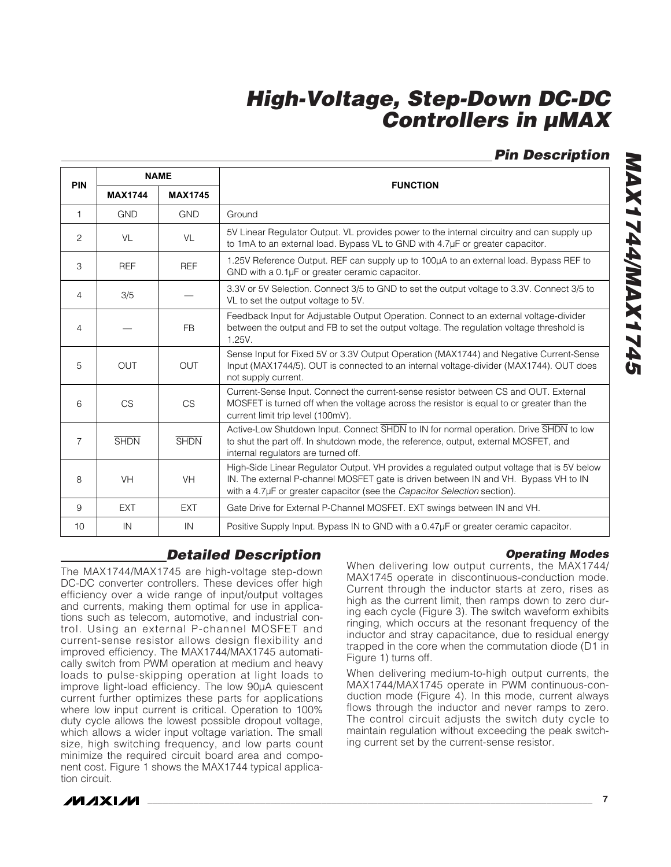## **Pin Description**

| <b>PIN</b>     |                | <b>NAME</b>    | <b>FUNCTION</b>                                                                                                                                                                                                                                               |  |
|----------------|----------------|----------------|---------------------------------------------------------------------------------------------------------------------------------------------------------------------------------------------------------------------------------------------------------------|--|
|                | <b>MAX1744</b> | <b>MAX1745</b> |                                                                                                                                                                                                                                                               |  |
| $\mathbf{1}$   | <b>GND</b>     | <b>GND</b>     | Ground                                                                                                                                                                                                                                                        |  |
| 2              | VL             | VL             | 5V Linear Regulator Output. VL provides power to the internal circuitry and can supply up<br>to 1mA to an external load. Bypass VL to GND with 4.7µF or greater capacitor.                                                                                    |  |
| 3              | <b>REF</b>     | <b>REF</b>     | 1.25V Reference Output. REF can supply up to 100µA to an external load. Bypass REF to<br>GND with a 0.1µF or greater ceramic capacitor.                                                                                                                       |  |
| 4              | 3/5            |                | 3.3V or 5V Selection. Connect 3/5 to GND to set the output voltage to 3.3V. Connect 3/5 to<br>VL to set the output voltage to 5V.                                                                                                                             |  |
| 4              |                | <b>FB</b>      | Feedback Input for Adjustable Output Operation. Connect to an external voltage-divider<br>between the output and FB to set the output voltage. The regulation voltage threshold is<br>1.25V.                                                                  |  |
| 5              | <b>OUT</b>     | <b>OUT</b>     | Sense Input for Fixed 5V or 3.3V Output Operation (MAX1744) and Negative Current-Sense<br>Input (MAX1744/5). OUT is connected to an internal voltage-divider (MAX1744). OUT does<br>not supply current.                                                       |  |
| 6              | <b>CS</b>      | <b>CS</b>      | Current-Sense Input. Connect the current-sense resistor between CS and OUT. External<br>MOSFET is turned off when the voltage across the resistor is equal to or greater than the<br>current limit trip level (100mV).                                        |  |
| $\overline{7}$ | <b>SHDN</b>    | <b>SHDN</b>    | Active-Low Shutdown Input. Connect SHDN to IN for normal operation. Drive SHDN to low<br>to shut the part off. In shutdown mode, the reference, output, external MOSFET, and<br>internal regulators are turned off.                                           |  |
| 8              | <b>VH</b>      | <b>VH</b>      | High-Side Linear Regulator Output. VH provides a regulated output voltage that is 5V below<br>IN. The external P-channel MOSFET gate is driven between IN and VH. Bypass VH to IN<br>with a 4.7µF or greater capacitor (see the Capacitor Selection section). |  |
| 9              | <b>EXT</b>     | <b>EXT</b>     | Gate Drive for External P-Channel MOSFET. EXT swings between IN and VH.                                                                                                                                                                                       |  |
| 10             | IN             | IN             | Positive Supply Input. Bypass IN to GND with a 0.47µF or greater ceramic capacitor.                                                                                                                                                                           |  |

## **Detailed Description**

The MAX1744/MAX1745 are high-voltage step-down DC-DC converter controllers. These devices offer high efficiency over a wide range of input/output voltages and currents, making them optimal for use in applications such as telecom, automotive, and industrial control. Using an external P-channel MOSFET and current-sense resistor allows design flexibility and improved efficiency. The MAX1744/MAX1745 automatically switch from PWM operation at medium and heavy loads to pulse-skipping operation at light loads to improve light-load efficiency. The low 90μA quiescent current further optimizes these parts for applications where low input current is critical. Operation to 100% duty cycle allows the lowest possible dropout voltage, which allows a wider input voltage variation. The small size, high switching frequency, and low parts count minimize the required circuit board area and component cost. Figure 1 shows the MAX1744 typical application circuit.

#### **Operating Modes**

When delivering low output currents, the MAX1744/ MAX1745 operate in discontinuous-conduction mode. Current through the inductor starts at zero, rises as high as the current limit, then ramps down to zero during each cycle (Figure 3). The switch waveform exhibits ringing, which occurs at the resonant frequency of the inductor and stray capacitance, due to residual energy trapped in the core when the commutation diode (D1 in Figure 1) turns off.

When delivering medium-to-high output currents, the MAX1744/MAX1745 operate in PWM continuous-conduction mode (Figure 4). In this mode, current always flows through the inductor and never ramps to zero. The control circuit adjusts the switch duty cycle to maintain regulation without exceeding the peak switching current set by the current-sense resistor.

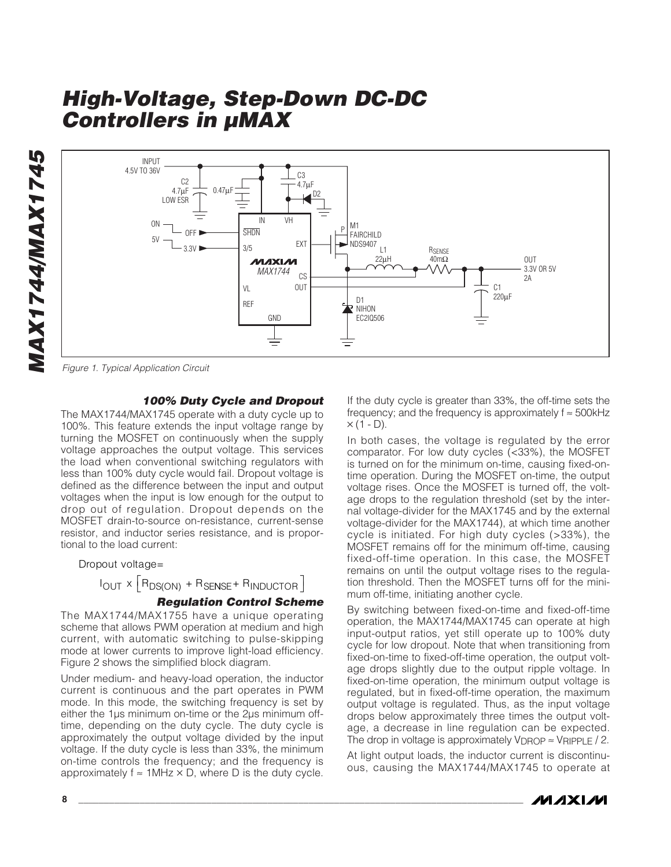**MAX1744/MAX1745** MAX1744/MAX1745



Figure 1. Typical Application Circuit

#### **100% Duty Cycle and Dropout**

The MAX1744/MAX1745 operate with a duty cycle up to 100%. This feature extends the input voltage range by turning the MOSFET on continuously when the supply voltage approaches the output voltage. This services the load when conventional switching regulators with less than 100% duty cycle would fail. Dropout voltage is defined as the difference between the input and output voltages when the input is low enough for the output to drop out of regulation. Dropout depends on the MOSFET drain-to-source on-resistance, current-sense resistor, and inductor series resistance, and is proportional to the load current:

#### Dropout voltage=

 $I_{OUT} \times [R_{DS(ON)} + R_{SENSE} + R_{INDUCTOR}]$ 

### **Regulation Control Scheme**

The MAX1744/MAX1755 have a unique operating scheme that allows PWM operation at medium and high current, with automatic switching to pulse-skipping mode at lower currents to improve light-load efficiency. Figure 2 shows the simplified block diagram.

Under medium- and heavy-load operation, the inductor current is continuous and the part operates in PWM mode. In this mode, the switching frequency is set by either the 1μs minimum on-time or the 2μs minimum offtime, depending on the duty cycle. The duty cycle is approximately the output voltage divided by the input voltage. If the duty cycle is less than 33%, the minimum on-time controls the frequency; and the frequency is approximately  $f \approx 1$ MHz  $\times$  D, where D is the duty cycle. If the duty cycle is greater than 33%, the off-time sets the frequency; and the frequency is approximately  $f \approx 500$ kHz  $\times$  (1 - D).

In both cases, the voltage is regulated by the error comparator. For low duty cycles (<33%), the MOSFET is turned on for the minimum on-time, causing fixed-ontime operation. During the MOSFET on-time, the output voltage rises. Once the MOSFET is turned off, the voltage drops to the regulation threshold (set by the internal voltage-divider for the MAX1745 and by the external voltage-divider for the MAX1744), at which time another cycle is initiated. For high duty cycles (>33%), the MOSFET remains off for the minimum off-time, causing fixed-off-time operation. In this case, the MOSFET remains on until the output voltage rises to the regulation threshold. Then the MOSFET turns off for the minimum off-time, initiating another cycle.

By switching between fixed-on-time and fixed-off-time operation, the MAX1744/MAX1745 can operate at high input-output ratios, yet still operate up to 100% duty cycle for low dropout. Note that when transitioning from fixed-on-time to fixed-off-time operation, the output voltage drops slightly due to the output ripple voltage. In fixed-on-time operation, the minimum output voltage is regulated, but in fixed-off-time operation, the maximum output voltage is regulated. Thus, as the input voltage drops below approximately three times the output voltage, a decrease in line regulation can be expected. The drop in voltage is approximately  $V_{\text{DROP}} \approx V_{\text{RIPPLE}}/2$ .

At light output loads, the inductor current is discontinuous, causing the MAX1744/MAX1745 to operate at

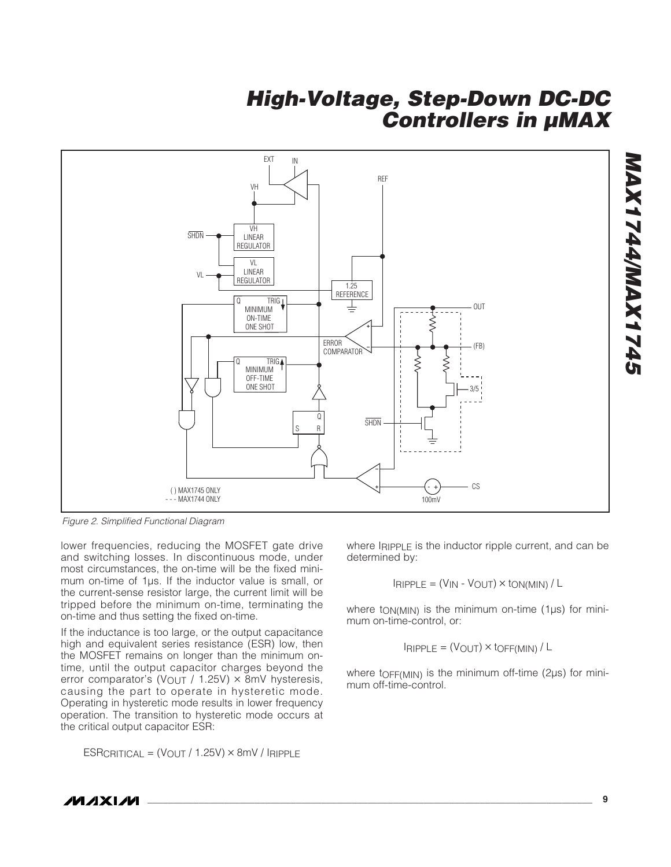

Figure 2. Simplified Functional Diagram

lower frequencies, reducing the MOSFET gate drive and switching losses. In discontinuous mode, under most circumstances, the on-time will be the fixed minimum on-time of 1μs. If the inductor value is small, or the current-sense resistor large, the current limit will be tripped before the minimum on-time, terminating the on-time and thus setting the fixed on-time.

If the inductance is too large, or the output capacitance high and equivalent series resistance (ESR) low, then the MOSFET remains on longer than the minimum ontime, until the output capacitor charges beyond the error comparator's (VOUT / 1.25V)  $\times$  8mV hysteresis, causing the part to operate in hysteretic mode. Operating in hysteretic mode results in lower frequency operation. The transition to hysteretic mode occurs at the critical output capacitor ESR:

 $ESRCRITICAL = (VOUT / 1.25V) \times 8mV / IRIPPLE$ 

where IRIPPLE is the inductor ripple current, and can be determined by:

$$
I_{RIPPLE} = (V_{IN} - V_{OUT}) \times t_{ON(MIN)} / L
$$

where t<sub>ON(MIN)</sub> is the minimum on-time (1μs) for minimum on-time-control, or:

$$
I_{RIPPLE} = (V_{OUT}) \times \text{LOFF}(MIN) / L
$$

where tOFF(MIN) is the minimum off-time (2μs) for minimum off-time-control.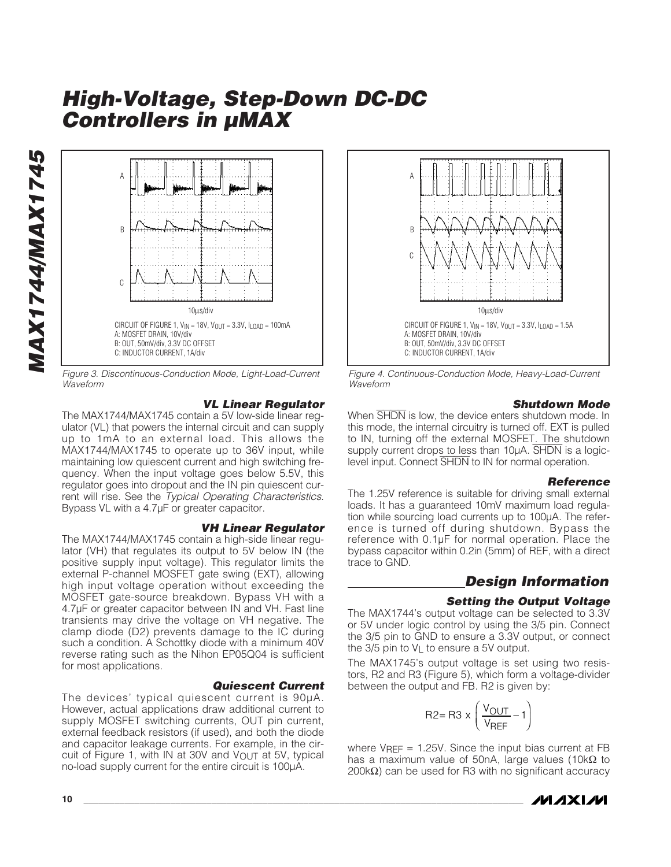

Figure 3. Discontinuous-Conduction Mode, Light-Load-Current Waveform

#### **VL Linear Regulator**

The MAX1744/MAX1745 contain a 5V low-side linear regulator (VL) that powers the internal circuit and can supply up to 1mA to an external load. This allows the MAX1744/MAX1745 to operate up to 36V input, while maintaining low quiescent current and high switching frequency. When the input voltage goes below 5.5V, this regulator goes into dropout and the IN pin quiescent current will rise. See the Typical Operating Characteristics. Bypass VL with a 4.7μF or greater capacitor.

#### **VH Linear Regulator**

The MAX1744/MAX1745 contain a high-side linear regulator (VH) that regulates its output to 5V below IN (the positive supply input voltage). This regulator limits the external P-channel MOSFET gate swing (EXT), allowing high input voltage operation without exceeding the MOSFET gate-source breakdown. Bypass VH with a 4.7μF or greater capacitor between IN and VH. Fast line transients may drive the voltage on VH negative. The clamp diode (D2) prevents damage to the IC during such a condition. A Schottky diode with a minimum 40V reverse rating such as the Nihon EP05Q04 is sufficient for most applications.

#### **Quiescent Current**

The devices' typical quiescent current is 90μA. However, actual applications draw additional current to supply MOSFET switching currents, OUT pin current, external feedback resistors (if used), and both the diode and capacitor leakage currents. For example, in the circuit of Figure 1, with IN at 30V and VOUT at 5V, typical no-load supply current for the entire circuit is 100μA.



Figure 4. Continuous-Conduction Mode, Heavy-Load-Current Waveform

#### **Shutdown Mode**

When  $\overline{\text{SHDN}}$  is low, the device enters shutdown mode. In this mode, the internal circuitry is turned off. EXT is pulled to IN, turning off the external MOSFET. The shutdown supply current drops to less than 10µA. SHDN is a logiclevel input. Connect SHDN to IN for normal operation.

#### **Reference**

The 1.25V reference is suitable for driving small external loads. It has a guaranteed 10mV maximum load regulation while sourcing load currents up to 100μA. The reference is turned off during shutdown. Bypass the reference with 0.1μF for normal operation. Place the bypass capacitor within 0.2in (5mm) of REF, with a direct trace to GND.

### **Design Information**

#### **Setting the Output Voltage**

The MAX1744's output voltage can be selected to 3.3V or 5V under logic control by using the 3/5 pin. Connect the 3/5 pin to GND to ensure a 3.3V output, or connect the  $3/5$  pin to  $V_1$  to ensure a 5V output.

The MAX1745's output voltage is set using two resistors, R2 and R3 (Figure 5), which form a voltage-divider between the output and FB. R2 is given by:

$$
R2 = R3 \times \left(\frac{V_{OUT}}{V_{REF}} - 1\right)
$$

where  $V_{RFF} = 1.25V$ . Since the input bias current at FB has a maximum value of 50nA, large values (10kΩ to 200kΩ) can be used for R3 with no significant accuracy



**MAX1744/MAX1745** MAX1744/MAX1745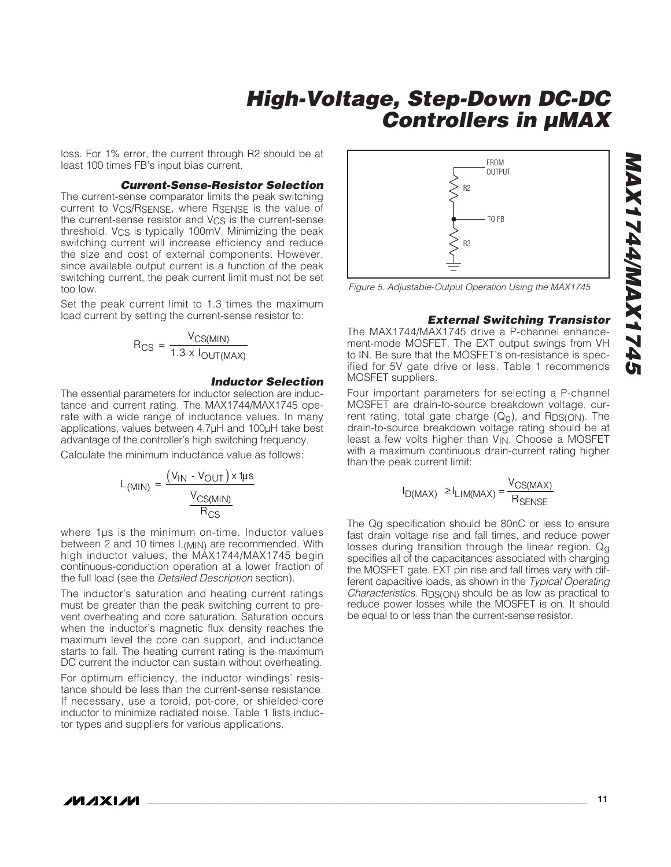loss. For 1% error, the current through R2 should be at least 100 times FB's input bias current.

#### **Current-Sense-Resistor Selection**

The current-sense comparator limits the peak switching current to VCS/RSENSE, where RSENSE is the value of the current-sense resistor and  $V_{CS}$  is the current-sense threshold. VCS is typically 100mV. Minimizing the peak switching current will increase efficiency and reduce the size and cost of external components. However, since available output current is a function of the peak switching current, the peak current limit must not be set too low.

Set the peak current limit to 1.3 times the maximum load current by setting the current-sense resistor to:

$$
R_{CS} = \frac{V_{CS(MIN)}}{1.3 \times I_{OUT(MAX)}}
$$

#### **Inductor Selection**

The essential parameters for inductor selection are inductance and current rating. The MAX1744/MAX1745 operate with a wide range of inductance values. In many applications, values between 4.7μH and 100μH take best advantage of the controller's high switching frequency.

Calculate the minimum inductance value as follows:

$$
L_{(MIN)} = \frac{(V_{IN} - V_{OUT}) \times 1 \mu s}{\frac{V_{CS(MIN)}}{R_{CS}}}
$$

where 1µs is the minimum on-time. Inductor values between 2 and 10 times L(MIN) are recommended. With high inductor values, the MAX1744/MAX1745 begin continuous-conduction operation at a lower fraction of the full load (see the Detailed Description section).

The inductor's saturation and heating current ratings must be greater than the peak switching current to prevent overheating and core saturation. Saturation occurs when the inductor's magnetic flux density reaches the maximum level the core can support, and inductance starts to fall. The heating current rating is the maximum DC current the inductor can sustain without overheating.

For optimum efficiency, the inductor windings' resistance should be less than the current-sense resistance. If necessary, use a toroid, pot-core, or shielded-core inductor to minimize radiated noise. Table 1 lists inductor types and suppliers for various applications.



Figure 5. Adjustable-Output Operation Using the MAX1745

#### **External Switching Transistor**

The MAX1744/MAX1745 drive a P-channel enhancement-mode MOSFET. The EXT output swings from VH to IN. Be sure that the MOSFET's on-resistance is specified for 5V gate drive or less. Table 1 recommends MOSFET suppliers.

Four important parameters for selecting a P-channel MOSFET are drain-to-source breakdown voltage, current rating, total gate charge  $(Q<sub>q</sub>)$ , and  $R<sub>DS(ON)</sub>$ . The drain-to-source breakdown voltage rating should be at least a few volts higher than V<sub>IN</sub>. Choose a MOSFET with a maximum continuous drain-current rating higher than the peak current limit:

$$
I_{D(MAX)} \ge I_{LIM(MAX)} = \frac{V_{CS(MAX)}}{R_{SENSE}}
$$

The Qg specification should be 80nC or less to ensure fast drain voltage rise and fall times, and reduce power losses during transition through the linear region. Qq specifies all of the capacitances associated with charging the MOSFET gate. EXT pin rise and fall times vary with different capacitive loads, as shown in the Typical Operating Characteristics. RDS(ON) should be as low as practical to reduce power losses while the MOSFET is on. It should be equal to or less than the current-sense resistor.

**MAXM**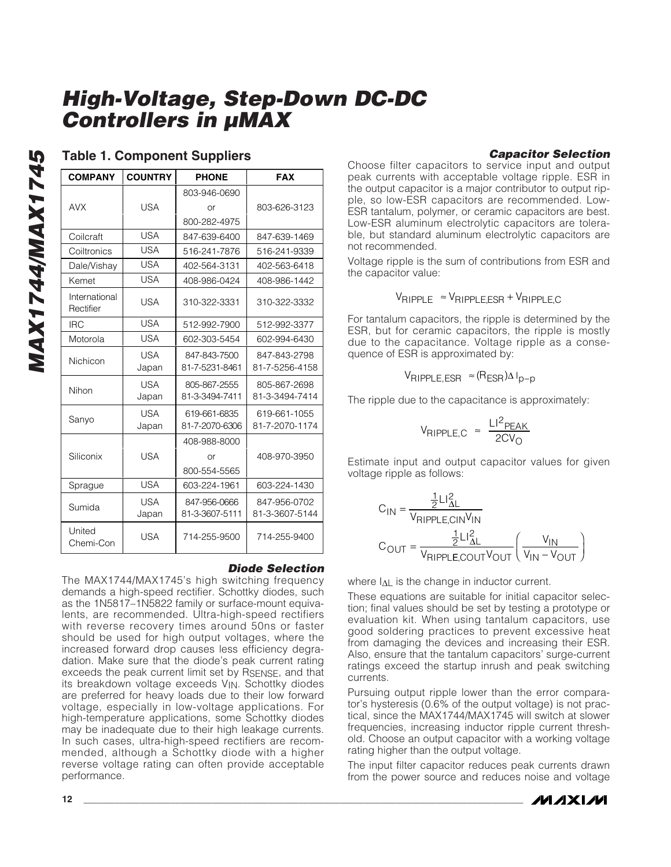| <b>COMPANY</b>             | <b>COUNTRY</b> | <b>PHONE</b>   | <b>FAX</b>     |
|----------------------------|----------------|----------------|----------------|
|                            |                | 803-946-0690   |                |
| <b>AVX</b>                 | USA            | or             | 803-626-3123   |
|                            |                | 800-282-4975   |                |
| Coilcraft                  | USA            | 847-639-6400   | 847-639-1469   |
| Coiltronics                | <b>USA</b>     | 516-241-7876   | 516-241-9339   |
| Dale/Vishay                | <b>USA</b>     | 402-564-3131   | 402-563-6418   |
| Kemet                      | USA            | 408-986-0424   | 408-986-1442   |
| International<br>Rectifier | USA            | 310-322-3331   | 310-322-3332   |
| <b>IRC</b>                 | <b>USA</b>     | 512-992-7900   | 512-992-3377   |
| Motorola                   | USA            | 602-303-5454   | 602-994-6430   |
| Nichicon                   | USA            | 847-843-7500   | 847-843-2798   |
|                            | Japan          | 81-7-5231-8461 | 81-7-5256-4158 |
| Nihon                      | <b>USA</b>     | 805-867-2555   | 805-867-2698   |
|                            | Japan          | 81-3-3494-7411 | 81-3-3494-7414 |
| Sanyo                      | <b>USA</b>     | 619-661-6835   | 619-661-1055   |
|                            | Japan          | 81-7-2070-6306 | 81-7-2070-1174 |
|                            |                | 408-988-8000   |                |
| Siliconix                  | <b>USA</b>     | or             | 408-970-3950   |
|                            |                | 800-554-5565   |                |
| Sprague                    | <b>USA</b>     | 603-224-1961   | 603-224-1430   |
| Sumida                     | <b>USA</b>     | 847-956-0666   | 847-956-0702   |
|                            | Japan          | 81-3-3607-5111 | 81-3-3607-5144 |
| United<br>Chemi-Con        | USA            | 714-255-9500   | 714-255-9400   |

### **Table 1. Component Suppliers**

#### **Diode Selection**

The MAX1744/MAX1745's high switching frequency demands a high-speed rectifier. Schottky diodes, such as the 1N5817–1N5822 family or surface-mount equivalents, are recommended. Ultra-high-speed rectifiers with reverse recovery times around 50ns or faster should be used for high output voltages, where the increased forward drop causes less efficiency degradation. Make sure that the diode's peak current rating exceeds the peak current limit set by RSENSE, and that its breakdown voltage exceeds V<sub>IN</sub>. Schottky diodes are preferred for heavy loads due to their low forward voltage, especially in low-voltage applications. For high-temperature applications, some Schottky diodes may be inadequate due to their high leakage currents. In such cases, ultra-high-speed rectifiers are recommended, although a Schottky diode with a higher reverse voltage rating can often provide acceptable performance.

### **Capacitor Selection**

Choose filter capacitors to service input and output peak currents with acceptable voltage ripple. ESR in the output capacitor is a major contributor to output ripple, so low-ESR capacitors are recommended. Low-ESR tantalum, polymer, or ceramic capacitors are best. Low-ESR aluminum electrolytic capacitors are tolerable, but standard aluminum electrolytic capacitors are not recommended.

Voltage ripple is the sum of contributions from ESR and the capacitor value:

$$
V_{RIPPLE} \approx V_{RIPPLE,ESR} + V_{RIPPLE, C}
$$

For tantalum capacitors, the ripple is determined by the ESR, but for ceramic capacitors, the ripple is mostly due to the capacitance. Voltage ripple as a consequence of ESR is approximated by:

$$
V_{RIPPLE,ESR} \approx (R_{ESR}) \Delta I_{p-p}
$$

The ripple due to the capacitance is approximately:

$$
V_{RIPPLE,C} \approx \frac{LI^{2}PEAK}{2CV_{O}}
$$

Estimate input and output capacitor values for given voltage ripple as follows:

$$
C_{IN} = \frac{\frac{1}{2}LI_{\Delta L}^{2}}{V_{RIPPLE, CIN}V_{IN}}
$$

$$
C_{OUT} = \frac{\frac{1}{2}LI_{\Delta L}^{2}}{V_{RIPPLE, COUT}V_{OUT}}\left(\frac{V_{IN}}{V_{IN} - V_{OUT}}\right)
$$

where  $I_{\Delta L}$  is the change in inductor current.

These equations are suitable for initial capacitor selection; final values should be set by testing a prototype or evaluation kit. When using tantalum capacitors, use good soldering practices to prevent excessive heat from damaging the devices and increasing their ESR. Also, ensure that the tantalum capacitors' surge-current ratings exceed the startup inrush and peak switching currents.

Pursuing output ripple lower than the error comparator's hysteresis (0.6% of the output voltage) is not practical, since the MAX1744/MAX1745 will switch at slower frequencies, increasing inductor ripple current threshold. Choose an output capacitor with a working voltage rating higher than the output voltage.

The input filter capacitor reduces peak currents drawn from the power source and reduces noise and voltage

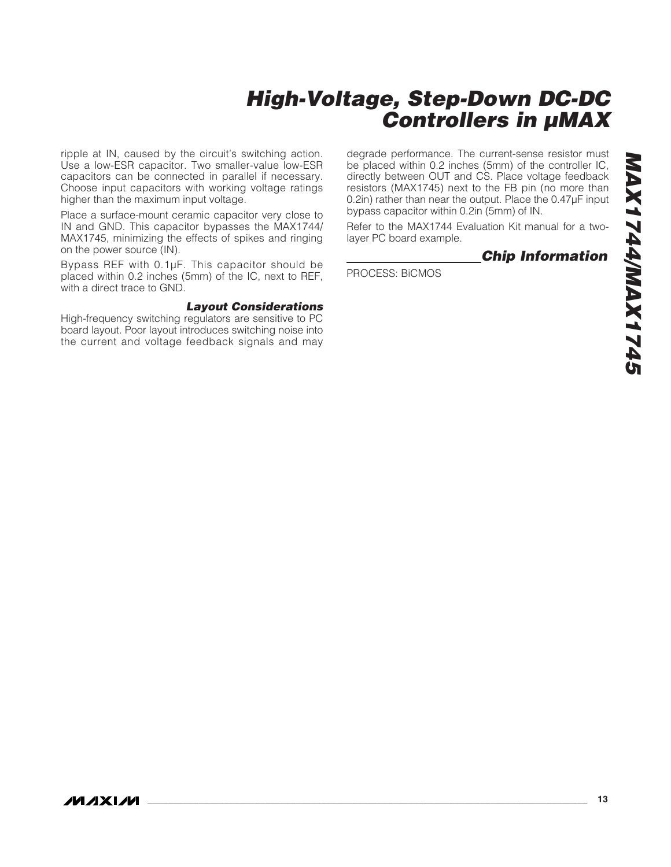ripple at IN, caused by the circuit's switching action. Use a low-ESR capacitor. Two smaller-value low-ESR capacitors can be connected in parallel if necessary. Choose input capacitors with working voltage ratings higher than the maximum input voltage.

Place a surface-mount ceramic capacitor very close to IN and GND. This capacitor bypasses the MAX1744/ MAX1745, minimizing the effects of spikes and ringing on the power source (IN).

Bypass REF with 0.1μF. This capacitor should be placed within 0.2 inches (5mm) of the IC, next to REF, with a direct trace to GND.

#### **Layout Considerations**

High-frequency switching regulators are sensitive to PC board layout. Poor layout introduces switching noise into the current and voltage feedback signals and may degrade performance. The current-sense resistor must be placed within 0.2 inches (5mm) of the controller IC, directly between OUT and CS. Place voltage feedback resistors (MAX1745) next to the FB pin (no more than 0.2in) rather than near the output. Place the 0.47μF input bypass capacitor within 0.2in (5mm) of IN.

Refer to the MAX1744 Evaluation Kit manual for a twolayer PC board example.

### **Chip Information**

PROCESS: BiCMOS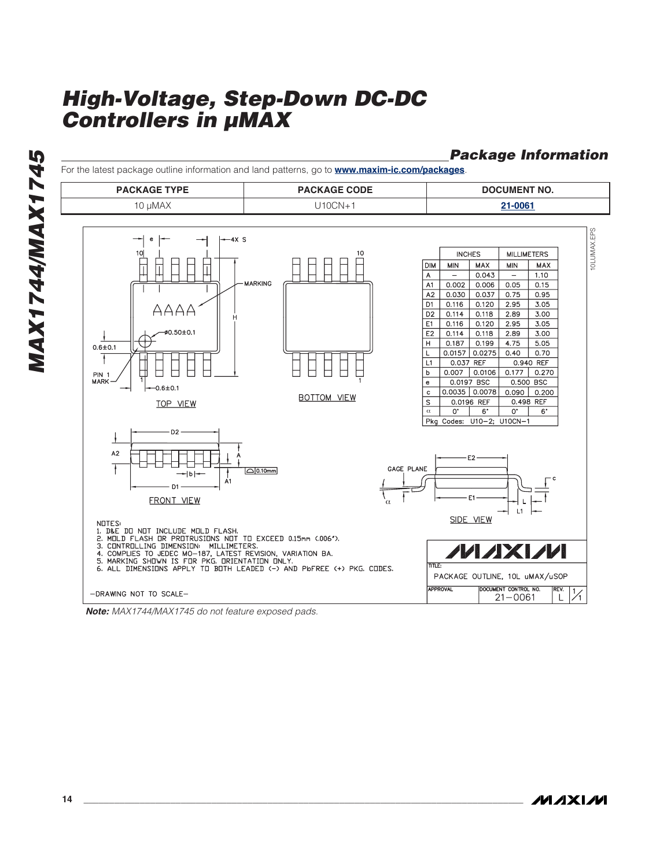**Package Information**

For the latest package outline information and land patterns, go to **www.maxim-ic.com/packages**.**PACKAGE TYPE PACKAGE CODE DOCUMENT NO.** 10 μMAX U10CN+1 **[21-0061](http://pdfserv.maxim-ic.com/package_dwgs/21-0061.PDF)** 10LUMAX.EPS 10LUMAX.EP  $-4X$  S  $10<sub>l</sub>$  $1 \Omega$ **INCHES MILLIMETERS DIM** MIN MAX  $\ensuremath{\mathsf{MIN}}$ MAX  $\overline{\top}$  $0.043$  $1.10$  $\overline{A}$ **MARKING**  $A1$  $0.002$ 0.006  $0.05$  $0.15$  $0.030$  $0.037$  $0.75$  $0.95$  $A2$  $DT$ 0.116 0.120 2.95 3.05 AAAA D<sub>2</sub>  $0.114$  $0.118$ 2.89  $3.00$  $0.116$  $0.120$  $E1$  $2.95$  $3.05$  $0.50 \pm 0.1$ E<sub>2</sub>  $0.114$ 0.118 2.89 3.00  $\overline{H}$  $0.187$  0.199  $4.75$  $5.05$  $0.6 + 0.1$  $0.0157$  0.0275  $0.40$  $0.70$  $\overline{L}$  $\mathbf{f}$  $L1$ 0.037 REF 0.940 REF  $0.007$   $0.0106$  $0.177$  0.270  $\mathsf b$ PIN 1<br>MARK 0.0197 BSC 0.500 BSC  $\mathbf{e}$  $-0.6 \pm 0.1$  $0.0035$  0.0078  $0.090$  0.200  $\mathbf c$ **BOTTOM VIEW**  $\overline{\mathbf{s}}$ 0.0196 REF 0.498 REF TOP VIEW  $\overline{6}$  $0^{\circ}$  $\overline{O}$ α  $6^{\circ}$ Pkg Codes: U10-2; U10CN-1 D<sub>2</sub>  $A2$  $E2$ 7 GAGE PLANE  $\Box$ 0.10mm  $1<sub>b</sub>$  $\frac{1}{A_1}$ D1 F<sub>1</sub> **FRONT VIEW** α  $L1$ NOTES:<br>2. MOLD FLASH OR PROTRUSIONS NOT TO EXCEED 0.15mm (.006"),<br>2. MOLD FLASH OR PROTRUSIONS NOT TO EXCEED 0.15mm (.006"),<br>4. COMPLIES TO JEDEC MO-187, LATEST REVISION, VARIATION BA.<br>5. MARKING SHOWN IS FOR PKG, ORIENTAT SIDE VIEW 11 / 17  $\overline{\text{min}}$  F PACKAGE OUTLINE, 10L uMAX/uSOP APPPOVAL DOCUMENT CONTROL NO. -DRAWING NOT TO SCALE- $21 - 0061$  $\perp$ 

**Note:** MAX1744/MAX1745 do not feature exposed pads.

**MAXM**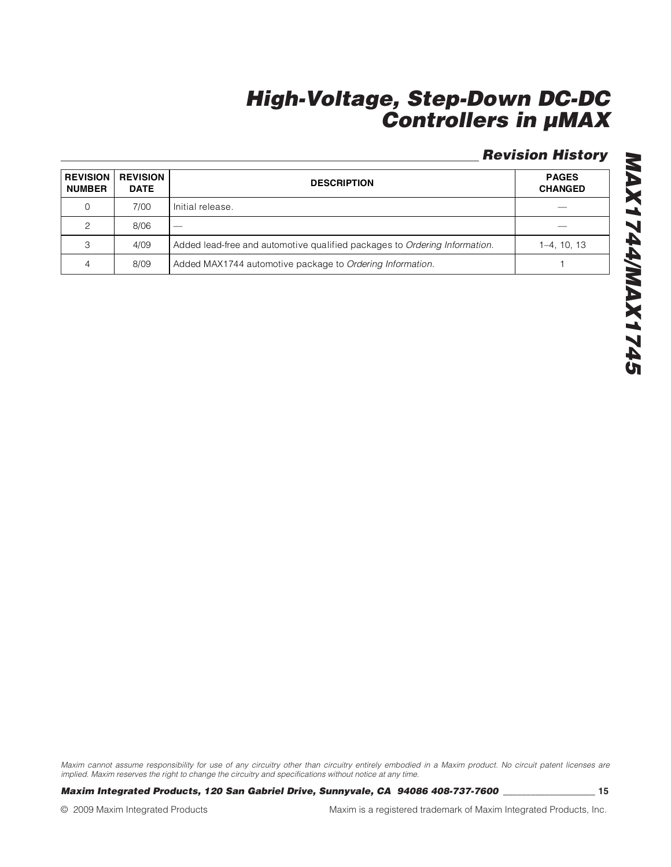## **Revision History**

| <b>REVISION</b><br><b>NUMBER</b> | <b>REVISION</b><br><b>DATE</b> | <b>DESCRIPTION</b>                                                         | <b>PAGES</b><br><b>CHANGED</b> |
|----------------------------------|--------------------------------|----------------------------------------------------------------------------|--------------------------------|
| $\Omega$                         | 7/00                           | Initial release.                                                           |                                |
| 2                                | 8/06                           | __                                                                         |                                |
| 3                                | 4/09                           | Added lead-free and automotive qualified packages to Ordering Information. | $1-4, 10, 13$                  |
| 4                                | 8/09                           | Added MAX1744 automotive package to Ordering Information.                  |                                |

**SPLIXVWW**+1XVW **MAX1744/MAX1745**

Maxim cannot assume responsibility for use of any circuitry other than circuitry entirely embodied in a Maxim product. No circuit patent licenses are implied. Maxim reserves the right to change the circuitry and specifications without notice at any time.

**Maxim Integrated Products, 120 San Gabriel Drive, Sunnyvale, CA 94086 408-737-7600 \_\_\_\_\_\_\_\_\_\_\_\_\_\_\_\_\_\_\_\_ 15**

© 2009 Maxim Integrated Products Maxim is a registered trademark of Maxim Integrated Products, Inc.